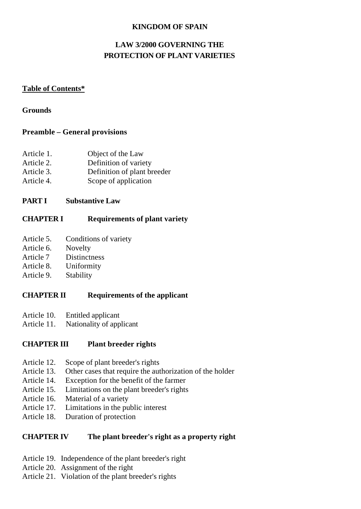### **KINGDOM OF SPAIN**

## **LAW 3/2000 GOVERNING THE PROTECTION OF PLANT VARIETIES**

#### **Table of Contents\***

#### **Grounds**

### **Preamble – General provisions**

| Article 1. | Object of the Law           |
|------------|-----------------------------|
| Article 2. | Definition of variety       |
| Article 3. | Definition of plant breeder |
| Article 4. | Scope of application        |

### **PART I Substantive Law**

## **CHAPTER I Requirements of plant variety**

- Article 5. Conditions of variety
- Article 6. Novelty
- Article 7 Distinctness
- Article 8. Uniformity
- Article 9. Stability

## **CHAPTER II Requirements of the applicant**

- Article 10. Entitled applicant
- Article 11. Nationality of applicant

## **CHAPTER III Plant breeder rights**

- Article 12. Scope of plant breeder's rights
- Article 13. Other cases that require the authorization of the holder
- Article 14. Exception for the benefit of the farmer
- Article 15. Limitations on the plant breeder's rights
- Article 16. Material of a variety
- Article 17. Limitations in the public interest
- Article 18. Duration of protection

## **CHAPTER IV The plant breeder's right as a property right**

- Article 19. Independence of the plant breeder's right
- Article 20. Assignment of the right
- Article 21. Violation of the plant breeder's rights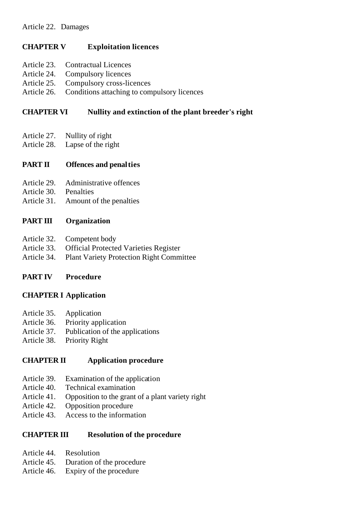## **CHAPTER V Exploitation licences**

- Article 23. Contractual Licences
- Article 24. Compulsory licences
- Article 25. Compulsory cross-licences
- Article 26. Conditions attaching to compulsory licences

## **CHAPTER VI Nullity and extinction of the plant breeder's right**

- Article 27. Nullity of right
- Article 28. Lapse of the right

## **PART II Offences and penalties**

- Article 29. Administrative offences
- Article 30. Penalties
- Article 31. Amount of the penalties

## **PART III Organization**

- Article 32. Competent body
- Article 33. Official Protected Varieties Register
- Article 34. Plant Variety Protection Right Committee

## **PART IV Procedure**

## **CHAPTER I Application**

- Article 35. Application
- Article 36. Priority application
- Article 37. Publication of the applications
- Article 38. Priority Right

## **CHAPTER II Application procedure**

- Article 39. Examination of the application
- Article 40. Technical examination
- Article 41. Opposition to the grant of a plant variety right
- Article 42. Opposition procedure
- Article 43. Access to the information

## **CHAPTER III Resolution of the procedure**

- Article 44. Resolution
- Article 45. Duration of the procedure
- Article 46. Expiry of the procedure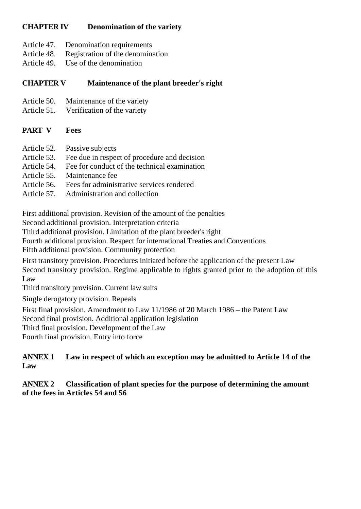## **CHAPTER IV Denomination of the variety**

- Article 47. Denomination requirements
- Article 48. Registration of the denomination
- Article 49. Use of the denomination

## **CHAPTER V Maintenance of the plant breeder's right**

- Article 50. Maintenance of the variety
- Article 51. Verification of the variety

## **PART V Fees**

- Article 52. Passive subjects
- Article 53. Fee due in respect of procedure and decision
- Article 54. Fee for conduct of the technical examination
- Article 55. Maintenance fee
- Article 56. Fees for administrative services rendered
- Article 57. Administration and collection

First additional provision. Revision of the amount of the penalties

Second additional provision. Interpretation criteria

Third additional provision. Limitation of the plant breeder's right

Fourth additional provision. Respect for international Treaties and Conventions

Fifth additional provision. Community protection

First transitory provision. Procedures initiated before the application of the present Law Second transitory provision. Regime applicable to rights granted prior to the adoption of this Law

Third transitory provision. Current law suits

Single derogatory provision. Repeals

First final provision. Amendment to Law 11/1986 of 20 March 1986 – the Patent Law

Second final provision. Additional application legislation

Third final provision. Development of the Law

Fourth final provision. Entry into force

## **ANNEX 1 Law in respect of which an exception may be admitted to Article 14 of the Law**

## **ANNEX 2 Classification of plant species for the purpose of determining the amount of the fees in Articles 54 and 56**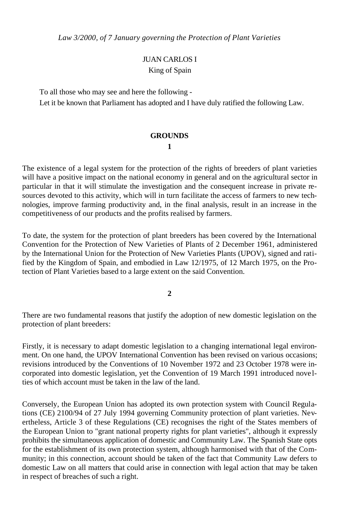*Law 3/2000, of 7 January governing the Protection of Plant Varieties*

## JUAN CARLOS I King of Spain

To all those who may see and here the following -

Let it be known that Parliament has adopted and I have duly ratified the following Law.

#### **GROUNDS**

**1**

The existence of a legal system for the protection of the rights of breeders of plant varieties will have a positive impact on the national economy in general and on the agricultural sector in particular in that it will stimulate the investigation and the consequent increase in private resources devoted to this activity, which will in turn facilitate the access of farmers to new technologies, improve farming productivity and, in the final analysis, result in an increase in the competitiveness of our products and the profits realised by farmers.

To date, the system for the protection of plant breeders has been covered by the International Convention for the Protection of New Varieties of Plants of 2 December 1961, administered by the International Union for the Protection of New Varieties Plants (UPOV), signed and ratified by the Kingdom of Spain, and embodied in Law 12/1975, of 12 March 1975, on the Protection of Plant Varieties based to a large extent on the said Convention.

**2**

There are two fundamental reasons that justify the adoption of new domestic legislation on the protection of plant breeders:

Firstly, it is necessary to adapt domestic legislation to a changing international legal environment. On one hand, the UPOV International Convention has been revised on various occasions; revisions introduced by the Conventions of 10 November 1972 and 23 October 1978 were incorporated into domestic legislation, yet the Convention of 19 March 1991 introduced nove lties of which account must be taken in the law of the land.

Conversely, the European Union has adopted its own protection system with Council Regulations (CE) 2100/94 of 27 July 1994 governing Community protection of plant varieties. Nevertheless, Article 3 of these Regulations (CE) recognises the right of the States members of the European Union to "grant national property rights for plant varieties", although it expressly prohibits the simultaneous application of domestic and Community Law. The Spanish State opts for the establishment of its own protection system, although harmonised with that of the Community; in this connection, account should be taken of the fact that Community Law defers to domestic Law on all matters that could arise in connection with legal action that may be taken in respect of breaches of such a right.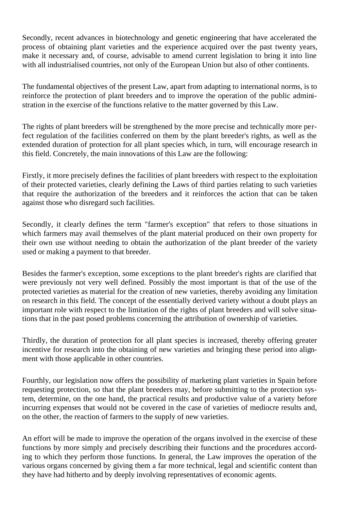Secondly, recent advances in biotechnology and genetic engineering that have accelerated the process of obtaining plant varieties and the experience acquired over the past twenty years, make it necessary and, of course, advisable to amend current legislation to bring it into line with all industrialised countries, not only of the European Union but also of other continents.

The fundamental objectives of the present Law, apart from adapting to international norms, is to reinforce the protection of plant breeders and to improve the operation of the public administration in the exercise of the functions relative to the matter governed by this Law.

The rights of plant breeders will be strengthened by the more precise and technically more perfect regulation of the facilities conferred on them by the plant breeder's rights, as well as the extended duration of protection for all plant species which, in turn, will encourage research in this field. Concretely, the main innovations of this Law are the following:

Firstly, it more precisely defines the facilities of plant breeders with respect to the exploitation of their protected varieties, clearly defining the Laws of third parties relating to such varieties that require the authorization of the breeders and it reinforces the action that can be taken against those who disregard such facilities.

Secondly, it clearly defines the term "farmer's exception" that refers to those situations in which farmers may avail themselves of the plant material produced on their own property for their own use without needing to obtain the authorization of the plant breeder of the variety used or making a payment to that breeder.

Besides the farmer's exception, some exceptions to the plant breeder's rights are clarified that were previously not very well defined. Possibly the most important is that of the use of the protected varieties as material for the creation of new varieties, thereby avoiding any limitation on research in this field. The concept of the essentially derived variety without a doubt plays an important role with respect to the limitation of the rights of plant breeders and will solve situations that in the past posed problems concerning the attribution of ownership of varieties.

Thirdly, the duration of protection for all plant species is increased, thereby offering greater incentive for research into the obtaining of new varieties and bringing these period into alignment with those applicable in other countries.

Fourthly, our legislation now offers the possibility of marketing plant varieties in Spain before requesting protection, so that the plant breeders may, before submitting to the protection system, determine, on the one hand, the practical results and productive value of a variety before incurring expenses that would not be covered in the case of varieties of mediocre results and, on the other, the reaction of farmers to the supply of new varieties.

An effort will be made to improve the operation of the organs involved in the exercise of these functions by more simply and precisely describing their functions and the procedures according to which they perform those functions. In general, the Law improves the operation of the various organs concerned by giving them a far more technical, legal and scientific content than they have had hitherto and by deeply involving representatives of economic agents.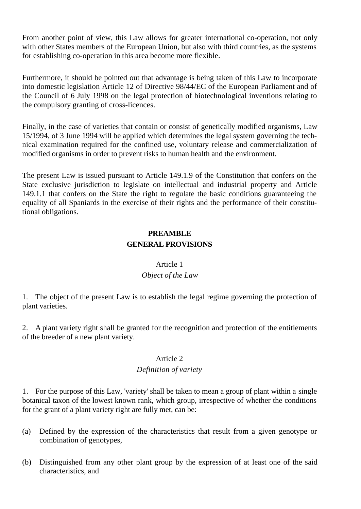From another point of view, this Law allows for greater international co-operation, not only with other States members of the European Union, but also with third countries, as the systems for establishing co-operation in this area become more flexible.

Furthermore, it should be pointed out that advantage is being taken of this Law to incorporate into domestic legislation Article 12 of Directive 98/44/EC of the European Parliament and of the Council of 6 July 1998 on the legal protection of biotechnological inventions relating to the compulsory granting of cross-licences.

Finally, in the case of varieties that contain or consist of genetically modified organisms, Law 15/1994, of 3 June 1994 will be applied which determines the legal system governing the technical examination required for the confined use, voluntary release and commercialization of modified organisms in order to prevent risks to human health and the environment.

The present Law is issued pursuant to Article 149.1.9 of the Constitution that confers on the State exclusive jurisdiction to legislate on intellectual and industrial property and Article 149.1.1 that confers on the State the right to regulate the basic conditions guaranteeing the equality of all Spaniards in the exercise of their rights and the performance of their constitutional obligations.

## **PREAMBLE GENERAL PROVISIONS**

#### Article 1

## *Object of the Law*

1. The object of the present Law is to establish the legal regime governing the protection of plant varieties.

2. A plant variety right shall be granted for the recognition and protection of the entitlements of the breeder of a new plant variety.

#### Article 2

#### *Definition of variety*

1. For the purpose of this Law, 'variety' shall be taken to mean a group of plant within a single botanical taxon of the lowest known rank, which group, irrespective of whether the conditions for the grant of a plant variety right are fully met, can be:

- (a) Defined by the expression of the characteristics that result from a given genotype or combination of genotypes,
- (b) Distinguished from any other plant group by the expression of at least one of the said characteristics, and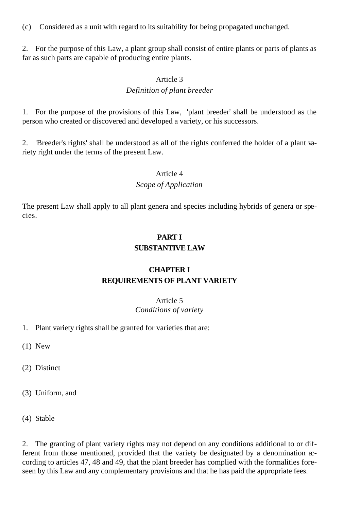(c) Considered as a unit with regard to its suitability for being propagated unchanged.

2. For the purpose of this Law, a plant group shall consist of entire plants or parts of plants as far as such parts are capable of producing entire plants.

#### Article 3

### *Definition of plant breeder*

1. For the purpose of the provisions of this Law, 'plant breeder' shall be understood as the person who created or discovered and developed a variety, or his successors.

2. 'Breeder's rights' shall be understood as all of the rights conferred the holder of a plant variety right under the terms of the present Law.

#### Article 4

#### *Scope of Application*

The present Law shall apply to all plant genera and species including hybrids of genera or species.

## **PART I SUBSTANTIVE LAW**

## **CHAPTER I REQUIREMENTS OF PLANT VARIETY**

#### Article 5 *Conditions of variety*

1. Plant variety rights shall be granted for varieties that are:

(1) New

(2) Distinct

(3) Uniform, and

(4) Stable

2. The granting of plant variety rights may not depend on any conditions additional to or different from those mentioned, provided that the variety be designated by a denomination  $x$ cording to articles 47, 48 and 49, that the plant breeder has complied with the formalities foreseen by this Law and any complementary provisions and that he has paid the appropriate fees.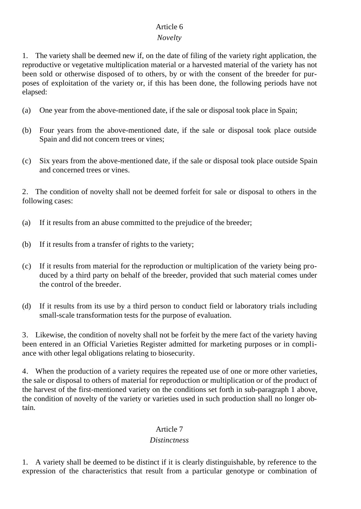## Article 6

#### *Novelty*

1. The variety shall be deemed new if, on the date of filing of the variety right application, the reproductive or vegetative multiplication material or a harvested material of the variety has not been sold or otherwise disposed of to others, by or with the consent of the breeder for purposes of exploitation of the variety or, if this has been done, the following periods have not elapsed:

- (a) One year from the above-mentioned date, if the sale or disposal took place in Spain;
- (b) Four years from the above-mentioned date, if the sale or disposal took place outside Spain and did not concern trees or vines;
- (c) Six years from the above-mentioned date, if the sale or disposal took place outside Spain and concerned trees or vines.

2. The condition of novelty shall not be deemed forfeit for sale or disposal to others in the following cases:

- (a) If it results from an abuse committed to the prejudice of the breeder;
- (b) If it results from a transfer of rights to the variety;
- (c) If it results from material for the reproduction or multiplication of the variety being produced by a third party on behalf of the breeder, provided that such material comes under the control of the breeder.
- (d) If it results from its use by a third person to conduct field or laboratory trials including small-scale transformation tests for the purpose of evaluation.

3. Likewise, the condition of novelty shall not be forfeit by the mere fact of the variety having been entered in an Official Varieties Register admitted for marketing purposes or in compliance with other legal obligations relating to biosecurity.

4. When the production of a variety requires the repeated use of one or more other varieties, the sale or disposal to others of material for reproduction or multiplication or of the product of the harvest of the first-mentioned variety on the conditions set forth in sub-paragraph 1 above, the condition of novelty of the variety or varieties used in such production shall no longer obtain.

#### Article 7

#### *Distinctness*

1. A variety shall be deemed to be distinct if it is clearly distinguishable, by reference to the expression of the characteristics that result from a particular genotype or combination of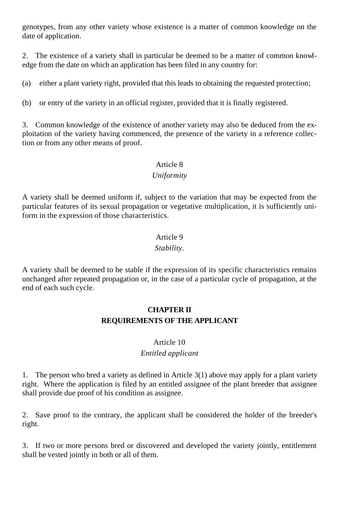genotypes, from any other variety whose existence is a matter of common knowledge on the date of application.

2. The existence of a variety shall in particular be deemed to be a matter of common knowledge from the date on which an application has been filed in any country for:

(a) either a plant variety right, provided that this leads to obtaining the requested protection;

(b) or entry of the variety in an official register, provided that it is finally registered.

3. Common knowledge of the existence of another variety may also be deduced from the exploitation of the variety having commenced, the presence of the variety in a reference collection or from any other means of proof.

#### Article 8

#### *Uniformity*

A variety shall be deemed uniform if, subject to the variation that may be expected from the particular features of its sexual propagation or vegetative multiplication, it is sufficiently uniform in the expression of those characteristics.

# Article 9

#### *Stability.*

A variety shall be deemed to be stable if the expression of its specific characteristics remains unchanged after repeated propagation or, in the case of a particular cycle of propagation, at the end of each such cycle.

## **CHAPTER II REQUIREMENTS OF THE APPLICANT**

#### Article 10

#### *Entitled applicant*

1. The person who bred a variety as defined in Article 3(1) above may apply for a plant variety right. Where the application is filed by an entitled assignee of the plant breeder that assignee shall provide due proof of his condition as assignee.

2. Save proof to the contrary, the applicant shall be considered the holder of the breeder's right.

3. If two or more persons bred or discovered and developed the variety jointly, entitlement shall be vested jointly in both or all of them.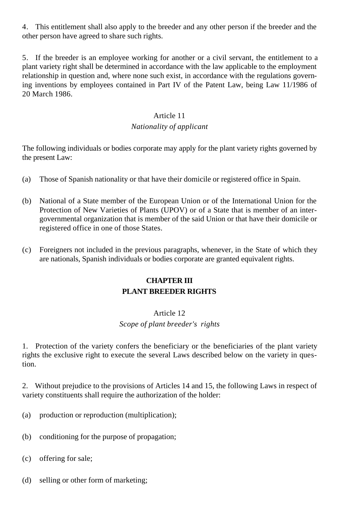4. This entitlement shall also apply to the breeder and any other person if the breeder and the other person have agreed to share such rights.

5. If the breeder is an employee working for another or a civil servant, the entitlement to a plant variety right shall be determined in accordance with the law applicable to the employment relationship in question and, where none such exist, in accordance with the regulations governing inventions by employees contained in Part IV of the Patent Law, being Law 11/1986 of 20 March 1986.

#### Article 11

#### *Nationality of applicant*

The following individuals or bodies corporate may apply for the plant variety rights governed by the present Law:

- (a) Those of Spanish nationality or that have their domicile or registered office in Spain.
- (b) National of a State member of the European Union or of the International Union for the Protection of New Varieties of Plants (UPOV) or of a State that is member of an intergovernmental organization that is member of the said Union or that have their domicile or registered office in one of those States.
- (c) Foreigners not included in the previous paragraphs, whenever, in the State of which they are nationals, Spanish individuals or bodies corporate are granted equivalent rights.

## **CHAPTER III PLANT BREEDER RIGHTS**

#### Article 12

#### *Scope of plant breeder's rights*

1. Protection of the variety confers the beneficiary or the beneficiaries of the plant variety rights the exclusive right to execute the several Laws described below on the variety in question.

2. Without prejudice to the provisions of Articles 14 and 15, the following Laws in respect of variety constituents shall require the authorization of the holder:

- (a) production or reproduction (multiplication);
- (b) conditioning for the purpose of propagation;
- (c) offering for sale;
- (d) selling or other form of marketing;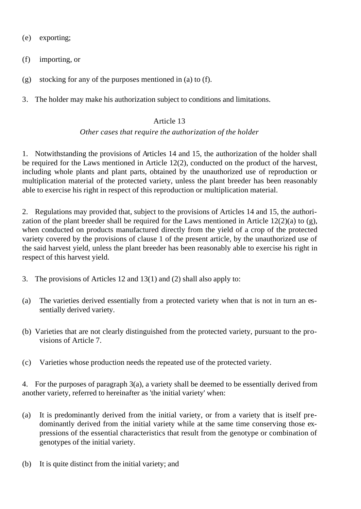(e) exporting;

(f) importing, or

(g) stocking for any of the purposes mentioned in (a) to (f).

3. The holder may make his authorization subject to conditions and limitations.

### Article 13

#### *Other cases that require the authorization of the holder*

1. Notwithstanding the provisions of Articles 14 and 15, the authorization of the holder shall be required for the Laws mentioned in Article 12(2), conducted on the product of the harvest, including whole plants and plant parts, obtained by the unauthorized use of reproduction or multiplication material of the protected variety, unless the plant breeder has been reasonably able to exercise his right in respect of this reproduction or multiplication material.

2. Regulations may provided that, subject to the provisions of Articles 14 and 15, the authorization of the plant breeder shall be required for the Laws mentioned in Article  $12(2)(a)$  to (g), when conducted on products manufactured directly from the yield of a crop of the protected variety covered by the provisions of clause 1 of the present article, by the unauthorized use of the said harvest yield, unless the plant breeder has been reasonably able to exercise his right in respect of this harvest yield.

- 3. The provisions of Articles 12 and 13(1) and (2) shall also apply to:
- (a) The varieties derived essentially from a protected variety when that is not in turn an essentially derived variety.
- (b) Varieties that are not clearly distinguished from the protected variety, pursuant to the provisions of Article 7.
- (c) Varieties whose production needs the repeated use of the protected variety.

4. For the purposes of paragraph 3(a), a variety shall be deemed to be essentially derived from another variety, referred to hereinafter as 'the initial variety' when:

- (a) It is predominantly derived from the initial variety, or from a variety that is itself predominantly derived from the initial variety while at the same time conserving those expressions of the essential characteristics that result from the genotype or combination of genotypes of the initial variety.
- (b) It is quite distinct from the initial variety; and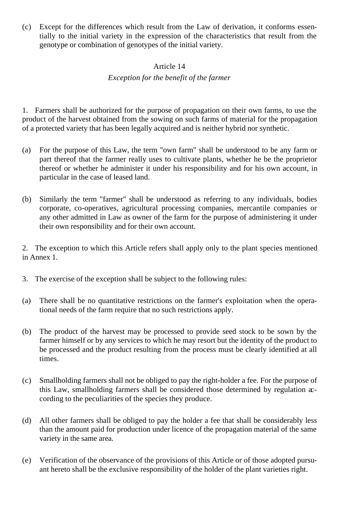(c) Except for the differences which result from the Law of derivation, it conforms essentially to the initial variety in the expression of the characteristics that result from the genotype or combination of genotypes of the initial variety.

#### Article 14

#### *Exception for the benefit of the farmer*

1. Farmers shall be authorized for the purpose of propagation on their own farms, to use the product of the harvest obtained from the sowing on such farms of material for the propagation of a protected variety that has been legally acquired and is neither hybrid nor synthetic.

- (a) For the purpose of this Law, the term "own farm" shall be understood to be any farm or part thereof that the farmer really uses to cultivate plants, whether he be the proprietor thereof or whether he administer it under his responsibility and for his own account, in particular in the case of leased land.
- (b) Similarly the term "farmer" shall be understood as referring to any individuals, bodies corporate, co-operatives, agricultural processing companies, mercantile companies or any other admitted in Law as owner of the farm for the purpose of administering it under their own responsibility and for their own account.

2. The exception to which this Article refers shall apply only to the plant species mentioned in Annex 1.

- 3. The exercise of the exception shall be subject to the following rules:
- (a) There shall be no quantitative restrictions on the farmer's exploitation when the operational needs of the farm require that no such restrictions apply.
- (b) The product of the harvest may be processed to provide seed stock to be sown by the farmer himself or by any services to which he may resort but the identity of the product to be processed and the product resulting from the process must be clearly identified at all times.
- (c) Smallholding farmers shall not be obliged to pay the right-holder a fee. For the purpose of this Law, smallholding farmers shall be considered those determined by regulation  $x$ cording to the peculiarities of the species they produce.
- (d) All other farmers shall be obliged to pay the holder a fee that shall be considerably less than the amount paid for production under licence of the propagation material of the same variety in the same area.
- (e) Verification of the observance of the provisions of this Article or of those adopted pursuant hereto shall be the exclusive responsibility of the holder of the plant varieties right.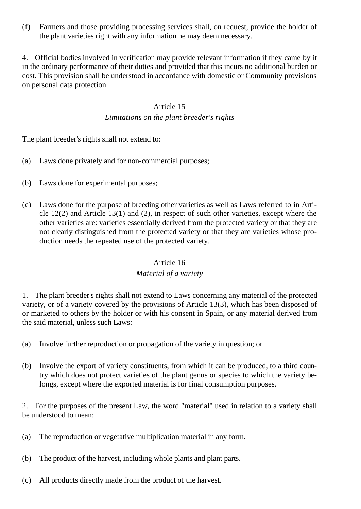(f) Farmers and those providing processing services shall, on request, provide the holder of the plant varieties right with any information he may deem necessary.

4. Official bodies involved in verification may provide relevant information if they came by it in the ordinary performance of their duties and provided that this incurs no additional burden or cost. This provision shall be understood in accordance with domestic or Community provisions on personal data protection.

#### Article 15

#### *Limitations on the plant breeder's rights*

The plant breeder's rights shall not extend to:

- (a) Laws done privately and for non-commercial purposes;
- (b) Laws done for experimental purposes;
- (c) Laws done for the purpose of breeding other varieties as well as Laws referred to in Article 12(2) and Article 13(1) and (2), in respect of such other varieties, except where the other varieties are: varieties essentially derived from the protected variety or that they are not clearly distinguished from the protected variety or that they are varieties whose production needs the repeated use of the protected variety.

#### Article 16

#### *Material of a variety*

1. The plant breeder's rights shall not extend to Laws concerning any material of the protected variety, or of a variety covered by the provisions of Article 13(3), which has been disposed of or marketed to others by the holder or with his consent in Spain, or any material derived from the said material, unless such Laws:

- (a) Involve further reproduction or propagation of the variety in question; or
- (b) Involve the export of variety constituents, from which it can be produced, to a third country which does not protect varieties of the plant genus or species to which the variety belongs, except where the exported material is for final consumption purposes.

2. For the purposes of the present Law, the word "material" used in relation to a variety shall be understood to mean:

- (a) The reproduction or vegetative multiplication material in any form.
- (b) The product of the harvest, including whole plants and plant parts.
- (c) All products directly made from the product of the harvest.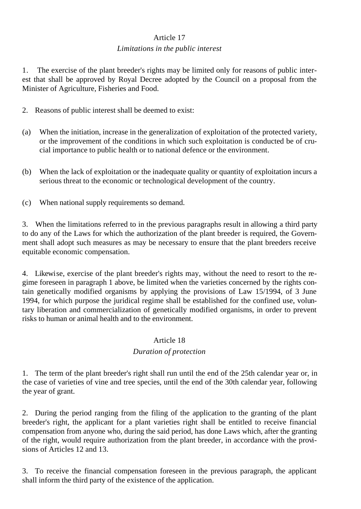### Article 17

#### *Limitations in the public interest*

1. The exercise of the plant breeder's rights may be limited only for reasons of public interest that shall be approved by Royal Decree adopted by the Council on a proposal from the Minister of Agriculture, Fisheries and Food.

- 2. Reasons of public interest shall be deemed to exist:
- (a) When the initiation, increase in the generalization of exploitation of the protected variety, or the improvement of the conditions in which such exploitation is conducted be of crucial importance to public health or to national defence or the environment.
- (b) When the lack of exploitation or the inadequate quality or quantity of exploitation incurs a serious threat to the economic or technological development of the country.
- (c) When national supply requirements so demand.

3. When the limitations referred to in the previous paragraphs result in allowing a third party to do any of the Laws for which the authorization of the plant breeder is required, the Government shall adopt such measures as may be necessary to ensure that the plant breeders receive equitable economic compensation.

4. Likewise, exercise of the plant breeder's rights may, without the need to resort to the regime foreseen in paragraph 1 above, be limited when the varieties concerned by the rights contain genetically modified organisms by applying the provisions of Law 15/1994, of 3 June 1994, for which purpose the juridical regime shall be established for the confined use, voluntary liberation and commercialization of genetically modified organisms, in order to prevent risks to human or animal health and to the environment.

#### Article 18

#### *Duration of protection*

1. The term of the plant breeder's right shall run until the end of the 25th calendar year or, in the case of varieties of vine and tree species, until the end of the 30th calendar year, following the year of grant.

2. During the period ranging from the filing of the application to the granting of the plant breeder's right, the applicant for a plant varieties right shall be entitled to receive financial compensation from anyone who, during the said period, has done Laws which, after the granting of the right, would require authorization from the plant breeder, in accordance with the provisions of Articles 12 and 13.

3. To receive the financial compensation foreseen in the previous paragraph, the applicant shall inform the third party of the existence of the application.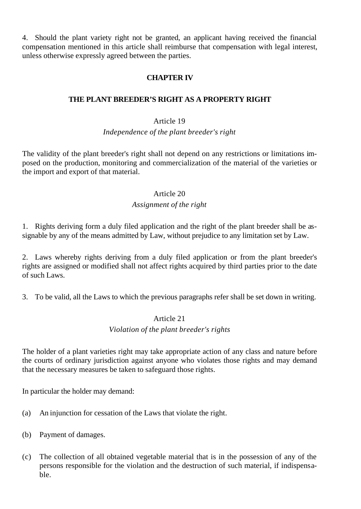4. Should the plant variety right not be granted, an applicant having received the financial compensation mentioned in this article shall reimburse that compensation with legal interest, unless otherwise expressly agreed between the parties.

### **CHAPTER IV**

### **THE PLANT BREEDER'S RIGHT AS A PROPERTY RIGHT**

#### Article 19

#### *Independence of the plant breeder's right*

The validity of the plant breeder's right shall not depend on any restrictions or limitations imposed on the production, monitoring and commercialization of the material of the varieties or the import and export of that material.

#### Article 20

#### *Assignment of the right*

1. Rights deriving form a duly filed application and the right of the plant breeder shall be assignable by any of the means admitted by Law, without prejudice to any limitation set by Law.

2. Laws whereby rights deriving from a duly filed application or from the plant breeder's rights are assigned or modified shall not affect rights acquired by third parties prior to the date of such Laws.

3. To be valid, all the Laws to which the previous paragraphs refer shall be set down in writing.

### Article 21 *Violation of the plant breeder's rights*

The holder of a plant varieties right may take appropriate action of any class and nature before the courts of ordinary jurisdiction against anyone who violates those rights and may demand that the necessary measures be taken to safeguard those rights.

In particular the holder may demand:

- (a) An injunction for cessation of the Laws that violate the right.
- (b) Payment of damages.
- (c) The collection of all obtained vegetable material that is in the possession of any of the persons responsible for the violation and the destruction of such material, if indispensable.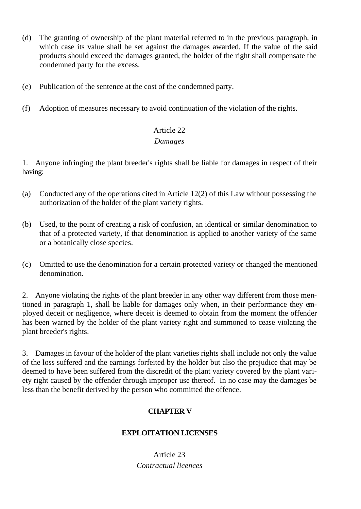- (d) The granting of ownership of the plant material referred to in the previous paragraph, in which case its value shall be set against the damages awarded. If the value of the said products should exceed the damages granted, the holder of the right shall compensate the condemned party for the excess.
- (e) Publication of the sentence at the cost of the condemned party.
- (f) Adoption of measures necessary to avoid continuation of the violation of the rights.

## Article 22 *Damages*

1. Anyone infringing the plant breeder's rights shall be liable for damages in respect of their having:

- (a) Conducted any of the operations cited in Article 12(2) of this Law without possessing the authorization of the holder of the plant variety rights.
- (b) Used, to the point of creating a risk of confusion, an identical or similar denomination to that of a protected variety, if that denomination is applied to another variety of the same or a botanically close species.
- (c) Omitted to use the denomination for a certain protected variety or changed the mentioned denomination.

2. Anyone violating the rights of the plant breeder in any other way different from those mentioned in paragraph 1, shall be liable for damages only when, in their performance they employed deceit or negligence, where deceit is deemed to obtain from the moment the offender has been warned by the holder of the plant variety right and summoned to cease violating the plant breeder's rights.

3. Damages in favour of the holder of the plant varieties rights shall include not only the value of the loss suffered and the earnings forfeited by the holder but also the prejudice that may be deemed to have been suffered from the discredit of the plant variety covered by the plant variety right caused by the offender through improper use thereof. In no case may the damages be less than the benefit derived by the person who committed the offence.

## **CHAPTER V**

## **EXPLOITATION LICENSES**

Article 23 *Contractual licences*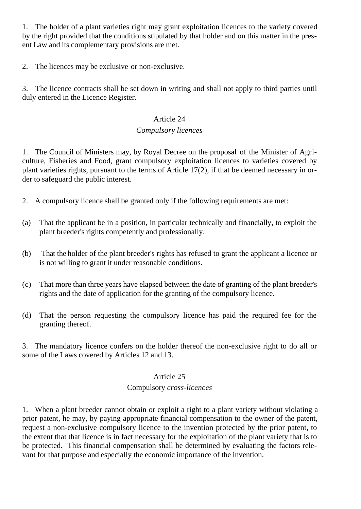1. The holder of a plant varieties right may grant exploitation licences to the variety covered by the right provided that the conditions stipulated by that holder and on this matter in the present Law and its complementary provisions are met.

2. The licences may be exclusive or non-exclusive.

3. The licence contracts shall be set down in writing and shall not apply to third parties until duly entered in the Licence Register.

#### Article 24

### *Compulsory licences*

1. The Council of Ministers may, by Royal Decree on the proposal of the Minister of Agriculture, Fisheries and Food, grant compulsory exploitation licences to varieties covered by plant varieties rights, pursuant to the terms of Article 17(2), if that be deemed necessary in order to safeguard the public interest.

- 2. A compulsory licence shall be granted only if the following requirements are met:
- (a) That the applicant be in a position, in particular technically and financially, to exploit the plant breeder's rights competently and professionally.
- (b) That the holder of the plant breeder's rights has refused to grant the applicant a licence or is not willing to grant it under reasonable conditions.
- (c) That more than three years have elapsed between the date of granting of the plant breeder's rights and the date of application for the granting of the compulsory licence.
- (d) That the person requesting the compulsory licence has paid the required fee for the granting thereof.

3. The mandatory licence confers on the holder thereof the non-exclusive right to do all or some of the Laws covered by Articles 12 and 13.

#### Article 25

### Compulsory *cross-licences*

1. When a plant breeder cannot obtain or exploit a right to a plant variety without violating a prior patent, he may, by paying appropriate financial compensation to the owner of the patent, request a non-exclusive compulsory licence to the invention protected by the prior patent, to the extent that that licence is in fact necessary for the exploitation of the plant variety that is to be protected. This financial compensation shall be determined by evaluating the factors relevant for that purpose and especially the economic importance of the invention.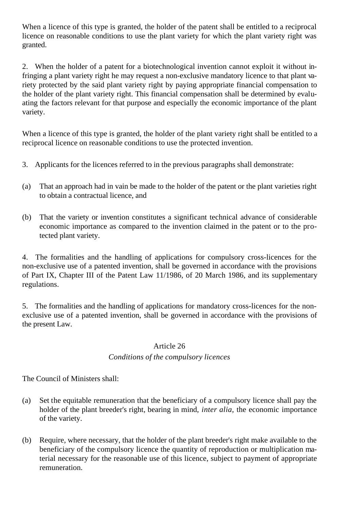When a licence of this type is granted, the holder of the patent shall be entitled to a reciprocal licence on reasonable conditions to use the plant variety for which the plant variety right was granted.

2. When the holder of a patent for a biotechnological invention cannot exploit it without infringing a plant variety right he may request a non-exclusive mandatory licence to that plant variety protected by the said plant variety right by paying appropriate financial compensation to the holder of the plant variety right. This financial compensation shall be determined by evaluating the factors relevant for that purpose and especially the economic importance of the plant variety.

When a licence of this type is granted, the holder of the plant variety right shall be entitled to a reciprocal licence on reasonable conditions to use the protected invention.

- 3. Applicants for the licences referred to in the previous paragraphs shall demonstrate:
- (a) That an approach had in vain be made to the holder of the patent or the plant varieties right to obtain a contractual licence, and
- (b) That the variety or invention constitutes a significant technical advance of considerable economic importance as compared to the invention claimed in the patent or to the protected plant variety.

4. The formalities and the handling of applications for compulsory cross-licences for the non-exclusive use of a patented invention, shall be governed in accordance with the provisions of Part IX, Chapter III of the Patent Law 11/1986, of 20 March 1986, and its supplementary regulations.

5. The formalities and the handling of applications for mandatory cross-licences for the nonexclusive use of a patented invention, shall be governed in accordance with the provisions of the present Law.

#### Article 26

#### *Conditions of the compulsory licences*

The Council of Ministers shall:

- (a) Set the equitable remuneration that the beneficiary of a compulsory licence shall pay the holder of the plant breeder's right, bearing in mind, *inter alia*, the economic importance of the variety.
- (b) Require, where necessary, that the holder of the plant breeder's right make available to the beneficiary of the compulsory licence the quantity of reproduction or multiplication material necessary for the reasonable use of this licence, subject to payment of appropriate remuneration.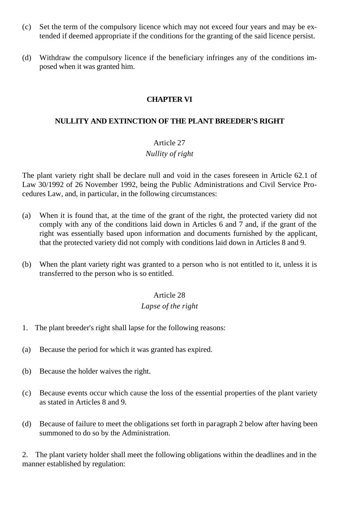- (c) Set the term of the compulsory licence which may not exceed four years and may be extended if deemed appropriate if the conditions for the granting of the said licence persist.
- (d) Withdraw the compulsory licence if the beneficiary infringes any of the conditions imposed when it was granted him.

### **CHAPTER VI**

### **NULLITY AND EXTINCTION OF THE PLANT BREEDER'S RIGHT**

#### Article 27

### *Nullity of right*

The plant variety right shall be declare null and void in the cases foreseen in Article 62.1 of Law 30/1992 of 26 November 1992, being the Public Administrations and Civil Service Procedures Law, and, in particular, in the following circumstances:

- (a) When it is found that, at the time of the grant of the right, the protected variety did not comply with any of the conditions laid down in Articles 6 and 7 and, if the grant of the right was essentially based upon information and documents furnished by the applicant, that the protected variety did not comply with conditions laid down in Articles 8 and 9.
- (b) When the plant variety right was granted to a person who is not entitled to it, unless it is transferred to the person who is so entitled.

#### Article 28

## *Lapse of the right*

- 1. The plant breeder's right shall lapse for the following reasons:
- (a) Because the period for which it was granted has expired.
- (b) Because the holder waives the right.
- (c) Because events occur which cause the loss of the essential properties of the plant variety as stated in Articles 8 and 9.
- (d) Because of failure to meet the obligations set forth in paragraph 2 below after having been summoned to do so by the Administration.

2. The plant variety holder shall meet the following obligations within the deadlines and in the manner established by regulation: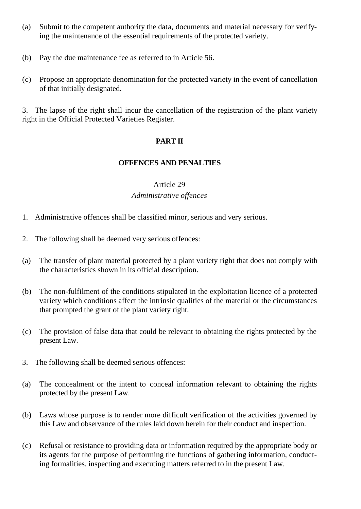- (a) Submit to the competent authority the data, documents and material necessary for verifying the maintenance of the essential requirements of the protected variety.
- (b) Pay the due maintenance fee as referred to in Article 56.
- (c) Propose an appropriate denomination for the protected variety in the event of cancellation of that initially designated.

3. The lapse of the right shall incur the cancellation of the registration of the plant variety right in the Official Protected Varieties Register.

## **PART II**

### **OFFENCES AND PENALTIES**

#### Article 29 *Administrative offences*

- 1. Administrative offences shall be classified minor, serious and very serious.
- 2. The following shall be deemed very serious offences:
- (a) The transfer of plant material protected by a plant variety right that does not comply with the characteristics shown in its official description.
- (b) The non-fulfilment of the conditions stipulated in the exploitation licence of a protected variety which conditions affect the intrinsic qualities of the material or the circumstances that prompted the grant of the plant variety right.
- (c) The provision of false data that could be relevant to obtaining the rights protected by the present Law.
- 3. The following shall be deemed serious offences:
- (a) The concealment or the intent to conceal information relevant to obtaining the rights protected by the present Law.
- (b) Laws whose purpose is to render more difficult verification of the activities governed by this Law and observance of the rules laid down herein for their conduct and inspection.
- (c) Refusal or resistance to providing data or information required by the appropriate body or its agents for the purpose of performing the functions of gathering information, conducting formalities, inspecting and executing matters referred to in the present Law.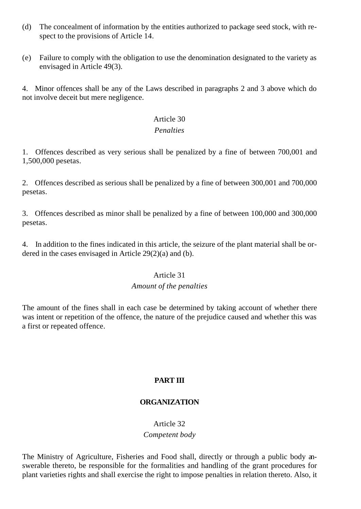- (d) The concealment of information by the entities authorized to package seed stock, with respect to the provisions of Article 14.
- (e) Failure to comply with the obligation to use the denomination designated to the variety as envisaged in Article 49(3).

4. Minor offences shall be any of the Laws described in paragraphs 2 and 3 above which do not involve deceit but mere negligence.

#### Article 30

#### *Penalties*

1. Offences described as very serious shall be penalized by a fine of between 700,001 and 1,500,000 pesetas.

2. Offences described as serious shall be penalized by a fine of between 300,001 and 700,000 pesetas.

3. Offences described as minor shall be penalized by a fine of between 100,000 and 300,000 pesetas.

4. In addition to the fines indicated in this article, the seizure of the plant material shall be ordered in the cases envisaged in Article 29(2)(a) and (b).

#### Article 31

#### *Amount of the penalties*

The amount of the fines shall in each case be determined by taking account of whether there was intent or repetition of the offence, the nature of the prejudice caused and whether this was a first or repeated offence.

## **PART III**

## **ORGANIZATION**

### Article 32 *Competent body*

The Ministry of Agriculture, Fisheries and Food shall, directly or through a public body answerable thereto, be responsible for the formalities and handling of the grant procedures for plant varieties rights and shall exercise the right to impose penalties in relation thereto. Also, it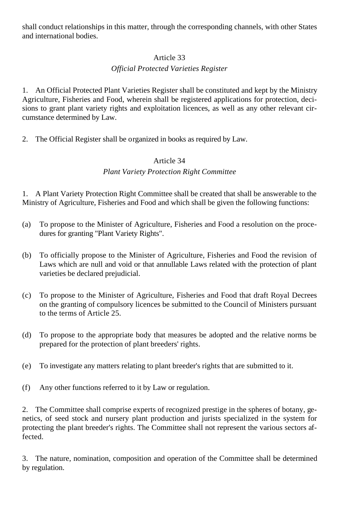shall conduct relationships in this matter, through the corresponding channels, with other States and international bodies.

### Article 33

### *Official Protected Varieties Register*

1. An Official Protected Plant Varieties Register shall be constituted and kept by the Ministry Agriculture, Fisheries and Food, wherein shall be registered applications for protection, decisions to grant plant variety rights and exploitation licences, as well as any other relevant circumstance determined by Law.

2. The Official Register shall be organized in books as required by Law.

#### Article 34

#### *Plant Variety Protection Right Committee*

1. A Plant Variety Protection Right Committee shall be created that shall be answerable to the Ministry of Agriculture, Fisheries and Food and which shall be given the following functions:

- (a) To propose to the Minister of Agriculture, Fisheries and Food a resolution on the procedures for granting "Plant Variety Rights".
- (b) To officially propose to the Minister of Agriculture, Fisheries and Food the revision of Laws which are null and void or that annullable Laws related with the protection of plant varieties be declared prejudicial.
- (c) To propose to the Minister of Agriculture, Fisheries and Food that draft Royal Decrees on the granting of compulsory licences be submitted to the Council of Ministers pursuant to the terms of Article 25.
- (d) To propose to the appropriate body that measures be adopted and the relative norms be prepared for the protection of plant breeders' rights.
- (e) To investigate any matters relating to plant breeder's rights that are submitted to it.
- (f) Any other functions referred to it by Law or regulation.

2. The Committee shall comprise experts of recognized prestige in the spheres of botany, genetics, of seed stock and nursery plant production and jurists specialized in the system for protecting the plant breeder's rights. The Committee shall not represent the various sectors affected.

3. The nature, nomination, composition and operation of the Committee shall be determined by regulation.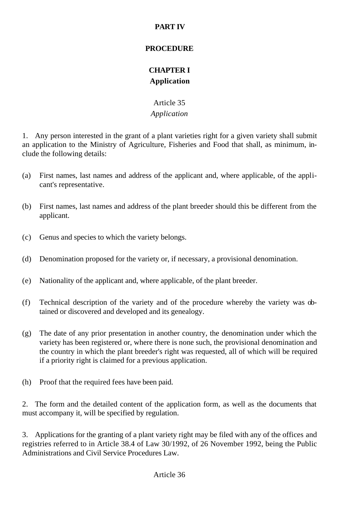## **PART IV**

#### **PROCEDURE**

## **CHAPTER I Application**

## Article 35 *Application*

1. Any person interested in the grant of a plant varieties right for a given variety shall submit an application to the Ministry of Agriculture, Fisheries and Food that shall, as minimum, include the following details:

- (a) First names, last names and address of the applicant and, where applicable, of the applicant's representative.
- (b) First names, last names and address of the plant breeder should this be different from the applicant.
- (c) Genus and species to which the variety belongs.
- (d) Denomination proposed for the variety or, if necessary, a provisional denomination.
- (e) Nationality of the applicant and, where applicable, of the plant breeder.
- (f) Technical description of the variety and of the procedure whereby the variety was obtained or discovered and developed and its genealogy.
- (g) The date of any prior presentation in another country, the denomination under which the variety has been registered or, where there is none such, the provisional denomination and the country in which the plant breeder's right was requested, all of which will be required if a priority right is claimed for a previous application.
- (h) Proof that the required fees have been paid.

2. The form and the detailed content of the application form, as well as the documents that must accompany it, will be specified by regulation.

3. Applications for the granting of a plant variety right may be filed with any of the offices and registries referred to in Article 38.4 of Law 30/1992, of 26 November 1992, being the Public Administrations and Civil Service Procedures Law.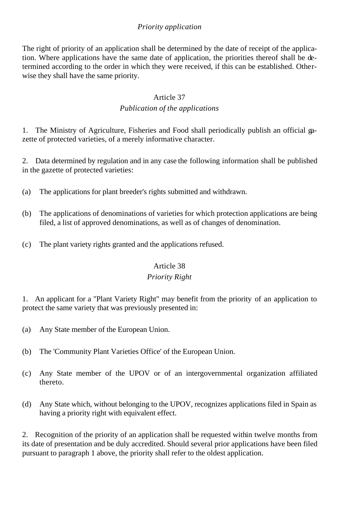### *Priority application*

The right of priority of an application shall be determined by the date of receipt of the application. Where applications have the same date of application, the priorities thereof shall be determined according to the order in which they were received, if this can be established. Otherwise they shall have the same priority.

#### Article 37

#### *Publication of the applications*

1. The Ministry of Agriculture, Fisheries and Food shall periodically publish an official gazette of protected varieties, of a merely informative character.

2. Data determined by regulation and in any case the following information shall be published in the gazette of protected varieties:

- (a) The applications for plant breeder's rights submitted and withdrawn.
- (b) The applications of denominations of varieties for which protection applications are being filed, a list of approved denominations, as well as of changes of denomination.
- (c) The plant variety rights granted and the applications refused.

#### Article 38

#### *Priority Right*

1. An applicant for a "Plant Variety Right" may benefit from the priority of an application to protect the same variety that was previously presented in:

- (a) Any State member of the European Union.
- (b) The 'Community Plant Varieties Office' of the European Union.
- (c) Any State member of the UPOV or of an intergovernmental organization affiliated thereto.
- (d) Any State which, without belonging to the UPOV, recognizes applications filed in Spain as having a priority right with equivalent effect.

2. Recognition of the priority of an application shall be requested within twelve months from its date of presentation and be duly accredited. Should several prior applications have been filed pursuant to paragraph 1 above, the priority shall refer to the oldest application.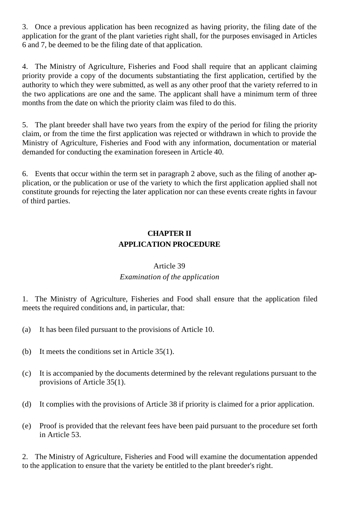3. Once a previous application has been recognized as having priority, the filing date of the application for the grant of the plant varieties right shall, for the purposes envisaged in Articles 6 and 7, be deemed to be the filing date of that application.

4. The Ministry of Agriculture, Fisheries and Food shall require that an applicant claiming priority provide a copy of the documents substantiating the first application, certified by the authority to which they were submitted, as well as any other proof that the variety referred to in the two applications are one and the same. The applicant shall have a minimum term of three months from the date on which the priority claim was filed to do this.

5. The plant breeder shall have two years from the expiry of the period for filing the priority claim, or from the time the first application was rejected or withdrawn in which to provide the Ministry of Agriculture, Fisheries and Food with any information, documentation or material demanded for conducting the examination foreseen in Article 40.

6. Events that occur within the term set in paragraph 2 above, such as the filing of another application, or the publication or use of the variety to which the first application applied shall not constitute grounds for rejecting the later application nor can these events create rights in favour of third parties.

## **CHAPTER II APPLICATION PROCEDURE**

### Article 39 *Examination of the application*

1. The Ministry of Agriculture, Fisheries and Food shall ensure that the application filed meets the required conditions and, in particular, that:

- (a) It has been filed pursuant to the provisions of Article 10.
- (b) It meets the conditions set in Article 35(1).
- (c) It is accompanied by the documents determined by the relevant regulations pursuant to the provisions of Article 35(1).
- (d) It complies with the provisions of Article 38 if priority is claimed for a prior application.
- (e) Proof is provided that the relevant fees have been paid pursuant to the procedure set forth in Article 53.

2. The Ministry of Agriculture, Fisheries and Food will examine the documentation appended to the application to ensure that the variety be entitled to the plant breeder's right.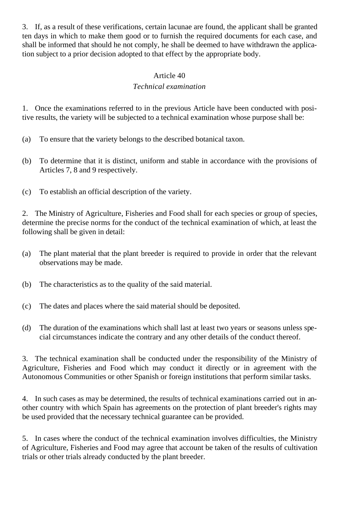3. If, as a result of these verifications, certain lacunae are found, the applicant shall be granted ten days in which to make them good or to furnish the required documents for each case, and shall be informed that should he not comply, he shall be deemed to have withdrawn the application subject to a prior decision adopted to that effect by the appropriate body.

### Article 40

### *Technical examination*

1. Once the examinations referred to in the previous Article have been conducted with positive results, the variety will be subjected to a technical examination whose purpose shall be:

- (a) To ensure that the variety belongs to the described botanical taxon.
- (b) To determine that it is distinct, uniform and stable in accordance with the provisions of Articles 7, 8 and 9 respectively.
- (c) To establish an official description of the variety.

2. The Ministry of Agriculture, Fisheries and Food shall for each species or group of species, determine the precise norms for the conduct of the technical examination of which, at least the following shall be given in detail:

- (a) The plant material that the plant breeder is required to provide in order that the relevant observations may be made.
- (b) The characteristics as to the quality of the said material.
- (c) The dates and places where the said material should be deposited.
- (d) The duration of the examinations which shall last at least two years or seasons unless special circumstances indicate the contrary and any other details of the conduct thereof.

3. The technical examination shall be conducted under the responsibility of the Ministry of Agriculture, Fisheries and Food which may conduct it directly or in agreement with the Autonomous Communities or other Spanish or foreign institutions that perform similar tasks.

4. In such cases as may be determined, the results of technical examinations carried out in another country with which Spain has agreements on the protection of plant breeder's rights may be used provided that the necessary technical guarantee can be provided.

5. In cases where the conduct of the technical examination involves difficulties, the Ministry of Agriculture, Fisheries and Food may agree that account be taken of the results of cultivation trials or other trials already conducted by the plant breeder.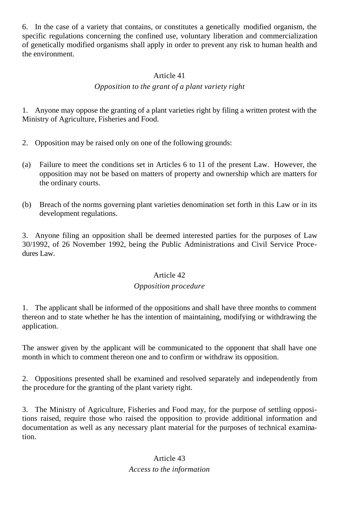6. In the case of a variety that contains, or constitutes a genetically modified organism, the specific regulations concerning the confined use, voluntary liberation and commercialization of genetically modified organisms shall apply in order to prevent any risk to human health and the environment.

#### Article 41

#### *Opposition to the grant of a plant variety right*

1. Anyone may oppose the granting of a plant varieties right by filing a written protest with the Ministry of Agriculture, Fisheries and Food.

- 2. Opposition may be raised only on one of the following grounds:
- (a) Failure to meet the conditions set in Articles 6 to 11 of the present Law. However, the opposition may not be based on matters of property and ownership which are matters for the ordinary courts.
- (b) Breach of the norms governing plant varieties denomination set forth in this Law or in its development regulations.

3. Anyone filing an opposition shall be deemed interested parties for the purposes of Law 30/1992, of 26 November 1992, being the Public Administrations and Civil Service Procedures Law.

#### Article 42

#### *Opposition procedure*

1. The applicant shall be informed of the oppositions and shall have three months to comment thereon and to state whether he has the intention of maintaining, modifying or withdrawing the application.

The answer given by the applicant will be communicated to the opponent that shall have one month in which to comment thereon one and to confirm or withdraw its opposition.

2. Oppositions presented shall be examined and resolved separately and independently from the procedure for the granting of the plant variety right.

3. The Ministry of Agriculture, Fisheries and Food may, for the purpose of settling oppositions raised, require those who raised the opposition to provide additional information and documentation as well as any necessary plant material for the purposes of technical examination.

## Article 43 *Access to the information*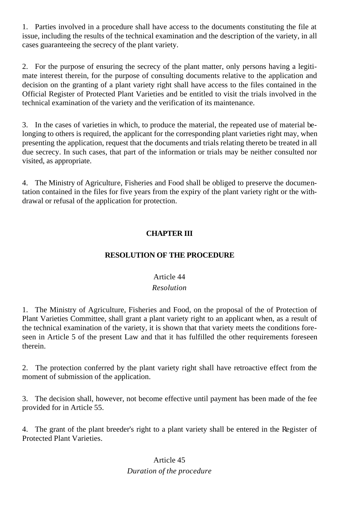1. Parties involved in a procedure shall have access to the documents constituting the file at issue, including the results of the technical examination and the description of the variety, in all cases guaranteeing the secrecy of the plant variety.

2. For the purpose of ensuring the secrecy of the plant matter, only persons having a legitimate interest therein, for the purpose of consulting documents relative to the application and decision on the granting of a plant variety right shall have access to the files contained in the Official Register of Protected Plant Varieties and be entitled to visit the trials involved in the technical examination of the variety and the verification of its maintenance.

3. In the cases of varieties in which, to produce the material, the repeated use of material belonging to others is required, the applicant for the corresponding plant varieties right may, when presenting the application, request that the documents and trials relating thereto be treated in all due secrecy. In such cases, that part of the information or trials may be neither consulted nor visited, as appropriate.

4. The Ministry of Agriculture, Fisheries and Food shall be obliged to preserve the documentation contained in the files for five years from the expiry of the plant variety right or the withdrawal or refusal of the application for protection.

## **CHAPTER III**

## **RESOLUTION OF THE PROCEDURE**

## Article 44

## *Resolution*

1. The Ministry of Agriculture, Fisheries and Food, on the proposal of the of Protection of Plant Varieties Committee, shall grant a plant variety right to an applicant when, as a result of the technical examination of the variety, it is shown that that variety meets the conditions foreseen in Article 5 of the present Law and that it has fulfilled the other requirements foreseen therein.

2. The protection conferred by the plant variety right shall have retroactive effect from the moment of submission of the application.

3. The decision shall, however, not become effective until payment has been made of the fee provided for in Article 55.

4. The grant of the plant breeder's right to a plant variety shall be entered in the Register of Protected Plant Varieties.

## Article 45 *Duration of the procedure*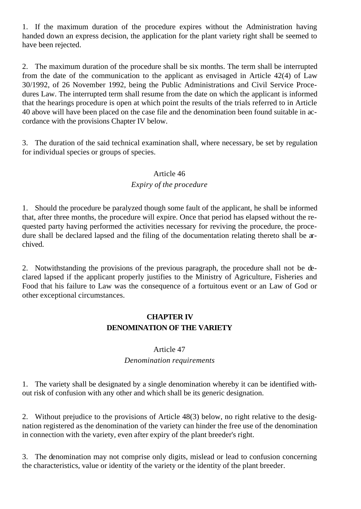1. If the maximum duration of the procedure expires without the Administration having handed down an express decision, the application for the plant variety right shall be seemed to have been rejected.

2. The maximum duration of the procedure shall be six months. The term shall be interrupted from the date of the communication to the applicant as envisaged in Article 42(4) of Law 30/1992, of 26 November 1992, being the Public Administrations and Civil Service Procedures Law. The interrupted term shall resume from the date on which the applicant is informed that the hearings procedure is open at which point the results of the trials referred to in Article 40 above will have been placed on the case file and the denomination been found suitable in accordance with the provisions Chapter IV below.

3. The duration of the said technical examination shall, where necessary, be set by regulation for individual species or groups of species.

#### Article 46

#### *Expiry of the procedure*

1. Should the procedure be paralyzed though some fault of the applicant, he shall be informed that, after three months, the procedure will expire. Once that period has elapsed without the requested party having performed the activities necessary for reviving the procedure, the procedure shall be declared lapsed and the filing of the documentation relating thereto shall be archived.

2. Notwithstanding the provisions of the previous paragraph, the procedure shall not be declared lapsed if the applicant properly justifies to the Ministry of Agriculture, Fisheries and Food that his failure to Law was the consequence of a fortuitous event or an Law of God or other exceptional circumstances.

## **CHAPTER IV DENOMINATION OF THE VARIETY**

#### Article 47

#### *Denomination requirements*

1. The variety shall be designated by a single denomination whereby it can be identified without risk of confusion with any other and which shall be its generic designation.

2. Without prejudice to the provisions of Article 48(3) below, no right relative to the designation registered as the denomination of the variety can hinder the free use of the denomination in connection with the variety, even after expiry of the plant breeder's right.

3. The denomination may not comprise only digits, mislead or lead to confusion concerning the characteristics, value or identity of the variety or the identity of the plant breeder.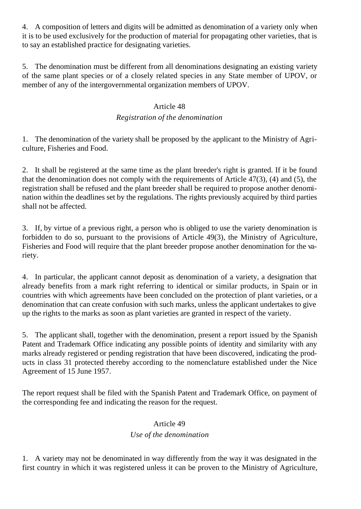4. A composition of letters and digits will be admitted as denomination of a variety only when it is to be used exclusively for the production of material for propagating other varieties, that is to say an established practice for designating varieties.

5. The denomination must be different from all denominations designating an existing variety of the same plant species or of a closely related species in any State member of UPOV, or member of any of the intergovernmental organization members of UPOV.

### Article 48

## *Registration of the denomination*

1. The denomination of the variety shall be proposed by the applicant to the Ministry of Agriculture, Fisheries and Food.

2. It shall be registered at the same time as the plant breeder's right is granted. If it be found that the denomination does not comply with the requirements of Article 47(3), (4) and (5), the registration shall be refused and the plant breeder shall be required to propose another denomination within the deadlines set by the regulations. The rights previously acquired by third parties shall not be affected.

3. If, by virtue of a previous right, a person who is obliged to use the variety denomination is forbidden to do so, pursuant to the provisions of Article 49(3), the Ministry of Agriculture, Fisheries and Food will require that the plant breeder propose another denomination for the variety.

4. In particular, the applicant cannot deposit as denomination of a variety, a designation that already benefits from a mark right referring to identical or similar products, in Spain or in countries with which agreements have been concluded on the protection of plant varieties, or a denomination that can create confusion with such marks, unless the applicant undertakes to give up the rights to the marks as soon as plant varieties are granted in respect of the variety.

5. The applicant shall, together with the denomination, present a report issued by the Spanish Patent and Trademark Office indicating any possible points of identity and similarity with any marks already registered or pending registration that have been discovered, indicating the products in class 31 protected thereby according to the nomenclature established under the Nice Agreement of 15 June 1957.

The report request shall be filed with the Spanish Patent and Trademark Office, on payment of the corresponding fee and indicating the reason for the request.

## Article 49

## *Use of the denomination*

1. A variety may not be denominated in way differently from the way it was designated in the first country in which it was registered unless it can be proven to the Ministry of Agriculture,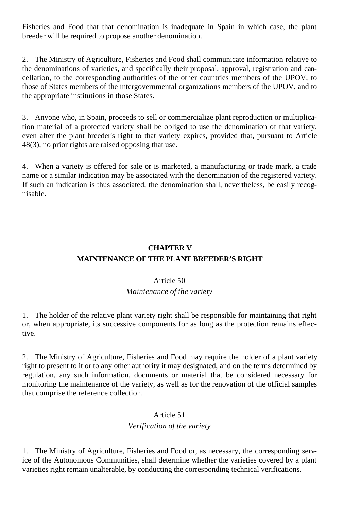Fisheries and Food that that denomination is inadequate in Spain in which case, the plant breeder will be required to propose another denomination.

2. The Ministry of Agriculture, Fisheries and Food shall communicate information relative to the denominations of varieties, and specifically their proposal, approval, registration and cancellation, to the corresponding authorities of the other countries members of the UPOV, to those of States members of the intergovernmental organizations members of the UPOV, and to the appropriate institutions in those States.

3. Anyone who, in Spain, proceeds to sell or commercialize plant reproduction or multiplication material of a protected variety shall be obliged to use the denomination of that variety, even after the plant breeder's right to that variety expires, provided that, pursuant to Article 48(3), no prior rights are raised opposing that use.

4. When a variety is offered for sale or is marketed, a manufacturing or trade mark, a trade name or a similar indication may be associated with the denomination of the registered variety. If such an indication is thus associated, the denomination shall, nevertheless, be easily recognisable.

## **CHAPTER V MAINTENANCE OF THE PLANT BREEDER'S RIGHT**

#### Article 50

## *Maintenance of the variety*

1. The holder of the relative plant variety right shall be responsible for maintaining that right or, when appropriate, its successive components for as long as the protection remains effective.

2. The Ministry of Agriculture, Fisheries and Food may require the holder of a plant variety right to present to it or to any other authority it may designated, and on the terms determined by regulation, any such information, documents or material that be considered necessary for monitoring the maintenance of the variety, as well as for the renovation of the official samples that comprise the reference collection.

## Article 51

#### *Verification of the variety*

1. The Ministry of Agriculture, Fisheries and Food or, as necessary, the corresponding service of the Autonomous Communities, shall determine whether the varieties covered by a plant varieties right remain unalterable, by conducting the corresponding technical verifications.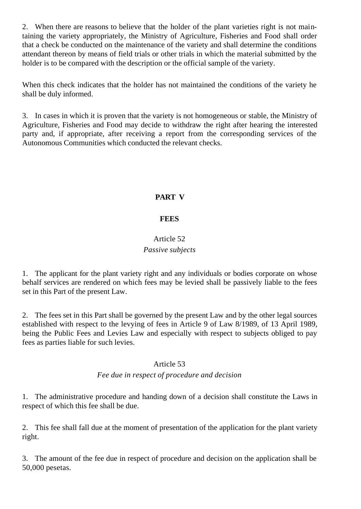2. When there are reasons to believe that the holder of the plant varieties right is not maintaining the variety appropriately, the Ministry of Agriculture, Fisheries and Food shall order that a check be conducted on the maintenance of the variety and shall determine the conditions attendant thereon by means of field trials or other trials in which the material submitted by the holder is to be compared with the description or the official sample of the variety.

When this check indicates that the holder has not maintained the conditions of the variety he shall be duly informed.

3. In cases in which it is proven that the variety is not homogeneous or stable, the Ministry of Agriculture, Fisheries and Food may decide to withdraw the right after hearing the interested party and, if appropriate, after receiving a report from the corresponding services of the Autonomous Communities which conducted the relevant checks.

## **PART V**

### **FEES**

## Article 52 *Passive subjects*

1. The applicant for the plant variety right and any individuals or bodies corporate on whose behalf services are rendered on which fees may be levied shall be passively liable to the fees set in this Part of the present Law.

2. The fees set in this Part shall be governed by the present Law and by the other legal sources established with respect to the levying of fees in Article 9 of Law 8/1989, of 13 April 1989, being the Public Fees and Levies Law and especially with respect to subjects obliged to pay fees as parties liable for such levies.

#### Article 53

## *Fee due in respect of procedure and decision*

1. The administrative procedure and handing down of a decision shall constitute the Laws in respect of which this fee shall be due.

2. This fee shall fall due at the moment of presentation of the application for the plant variety right.

3. The amount of the fee due in respect of procedure and decision on the application shall be 50,000 pesetas.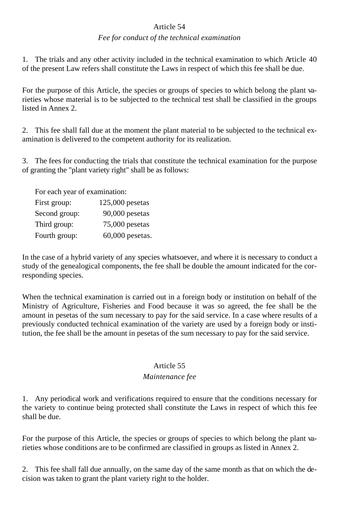#### Article 54

#### *Fee for conduct of the technical examination*

1. The trials and any other activity included in the technical examination to which Article 40 of the present Law refers shall constitute the Laws in respect of which this fee shall be due.

For the purpose of this Article, the species or groups of species to which belong the plant varieties whose material is to be subjected to the technical test shall be classified in the groups listed in Annex 2.

2. This fee shall fall due at the moment the plant material to be subjected to the technical examination is delivered to the competent authority for its realization.

3. The fees for conducting the trials that constitute the technical examination for the purpose of granting the "plant variety right" shall be as follows:

For each year of examination:

| First group:  | $125,000$ pesetas |
|---------------|-------------------|
| Second group: | $90,000$ pesetas  |
| Third group:  | $75,000$ pesetas  |
| Fourth group: | $60,000$ pesetas. |

In the case of a hybrid variety of any species whatsoever, and where it is necessary to conduct a study of the genealogical components, the fee shall be double the amount indicated for the corresponding species.

When the technical examination is carried out in a foreign body or institution on behalf of the Ministry of Agriculture, Fisheries and Food because it was so agreed, the fee shall be the amount in pesetas of the sum necessary to pay for the said service. In a case where results of a previously conducted technical examination of the variety are used by a foreign body or institution, the fee shall be the amount in pesetas of the sum necessary to pay for the said service.

#### Article 55

#### *Maintenance fee*

1. Any periodical work and verifications required to ensure that the conditions necessary for the variety to continue being protected shall constitute the Laws in respect of which this fee shall be due.

For the purpose of this Article, the species or groups of species to which belong the plant varieties whose conditions are to be confirmed are classified in groups as listed in Annex 2.

2. This fee shall fall due annually, on the same day of the same month as that on which the decision was taken to grant the plant variety right to the holder.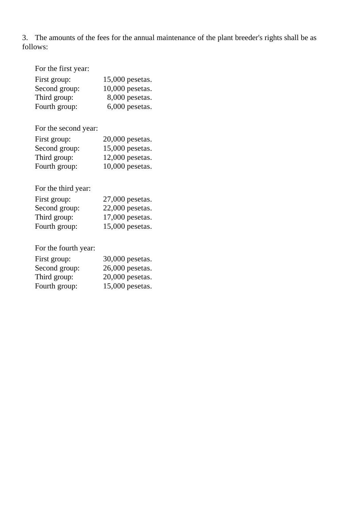3. The amounts of the fees for the annual maintenance of the plant breeder's rights shall be as follows:

| For the first year: |  |
|---------------------|--|
|---------------------|--|

| First group:  | $15,000$ pesetas. |
|---------------|-------------------|
| Second group: | $10,000$ pesetas. |
| Third group:  | $8,000$ pesetas.  |
| Fourth group: | $6,000$ pesetas.  |

For the second year:

| First group:  | $20,000$ pesetas. |
|---------------|-------------------|
| Second group: | $15,000$ pesetas. |
| Third group:  | $12,000$ pesetas. |
| Fourth group: | $10,000$ pesetas. |

For the third year:

| First group:  | $27,000$ pesetas. |
|---------------|-------------------|
| Second group: | $22,000$ pesetas. |
| Third group:  | $17,000$ pesetas. |
| Fourth group: | 15,000 pesetas.   |

For the fourth year:

| First group:  | 30,000 pesetas.   |
|---------------|-------------------|
| Second group: | $26,000$ pesetas. |
| Third group:  | 20,000 pesetas.   |
| Fourth group: | 15,000 pesetas.   |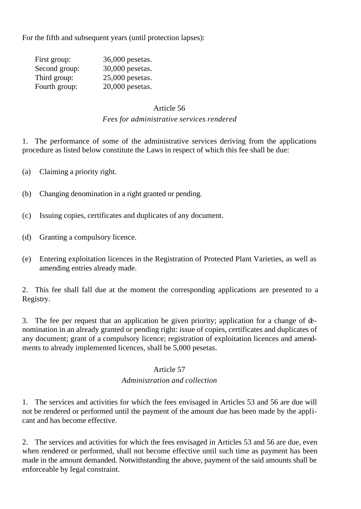For the fifth and subsequent years (until protection lapses):

| 36,000 pesetas.   |
|-------------------|
| 30,000 pesetas.   |
| $25,000$ pesetas. |
| $20,000$ pesetas. |
|                   |

#### Article 56

### *Fees for administrative services rendered*

1. The performance of some of the administrative services deriving from the applications procedure as listed below constitute the Laws in respect of which this fee shall be due:

- (a) Claiming a priority right.
- (b) Changing denomination in a right granted or pending.
- (c) Issuing copies, certificates and duplicates of any document.
- (d) Granting a compulsory licence.
- (e) Entering exploitation licences in the Registration of Protected Plant Varieties, as well as amending entries already made.

2. This fee shall fall due at the moment the corresponding applications are presented to a Registry.

3. The fee per request that an application be given priority; application for a change of denomination in an already granted or pending right: issue of copies, certificates and duplicates of any document; grant of a compulsory licence; registration of exploitation licences and amendments to already implemented licences, shall be 5,000 pesetas.

#### Article 57

#### *Administration and collection*

1. The services and activities for which the fees envisaged in Articles 53 and 56 are due will not be rendered or performed until the payment of the amount due has been made by the applicant and has become effective.

2. The services and activities for which the fees envisaged in Articles 53 and 56 are due, even when rendered or performed, shall not become effective until such time as payment has been made in the amount demanded. Notwithstanding the above, payment of the said amounts shall be enforceable by legal constraint.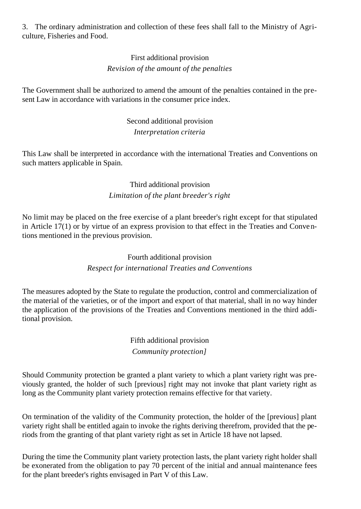3. The ordinary administration and collection of these fees shall fall to the Ministry of Agriculture, Fisheries and Food.

## First additional provision *Revision of the amount of the penalties*

The Government shall be authorized to amend the amount of the penalties contained in the present Law in accordance with variations in the consumer price index.

## Second additional provision *Interpretation criteria*

This Law shall be interpreted in accordance with the international Treaties and Conventions on such matters applicable in Spain.

## Third additional provision *Limitation of the plant breeder's right*

No limit may be placed on the free exercise of a plant breeder's right except for that stipulated in Article 17(1) or by virtue of an express provision to that effect in the Treaties and Conventions mentioned in the previous provision.

## Fourth additional provision *Respect for international Treaties and Conventions*

The measures adopted by the State to regulate the production, control and commercialization of the material of the varieties, or of the import and export of that material, shall in no way hinder the application of the provisions of the Treaties and Conventions mentioned in the third additional provision.

## Fifth additional provision *Community protection]*

Should Community protection be granted a plant variety to which a plant variety right was previously granted, the holder of such [previous] right may not invoke that plant variety right as long as the Community plant variety protection remains effective for that variety.

On termination of the validity of the Community protection, the holder of the [previous] plant variety right shall be entitled again to invoke the rights deriving therefrom, provided that the periods from the granting of that plant variety right as set in Article 18 have not lapsed.

During the time the Community plant variety protection lasts, the plant variety right holder shall be exonerated from the obligation to pay 70 percent of the initial and annual maintenance fees for the plant breeder's rights envisaged in Part V of this Law.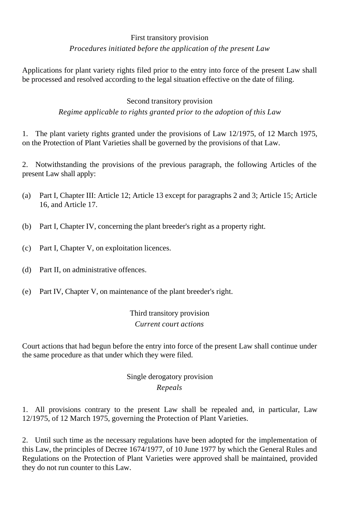## First transitory provision *Procedures initiated before the application of the present Law*

Applications for plant variety rights filed prior to the entry into force of the present Law shall be processed and resolved according to the legal situation effective on the date of filing.

### Second transitory provision

*Regime applicable to rights granted prior to the adoption of this Law*

1. The plant variety rights granted under the provisions of Law 12/1975, of 12 March 1975, on the Protection of Plant Varieties shall be governed by the provisions of that Law.

2. Notwithstanding the provisions of the previous paragraph, the following Articles of the present Law shall apply:

- (a) Part I, Chapter III: Article 12; Article 13 except for paragraphs 2 and 3; Article 15; Article 16, and Article 17.
- (b) Part I, Chapter IV, concerning the plant breeder's right as a property right.
- (c) Part I, Chapter V, on exploitation licences.
- (d) Part II, on administrative offences.
- (e) Part IV, Chapter V, on maintenance of the plant breeder's right.

Third transitory provision *Current court actions*

Court actions that had begun before the entry into force of the present Law shall continue under the same procedure as that under which they were filed.

## Single derogatory provision *Repeals*

1. All provisions contrary to the present Law shall be repealed and, in particular, Law 12/1975, of 12 March 1975, governing the Protection of Plant Varieties.

2. Until such time as the necessary regulations have been adopted for the implementation of this Law, the principles of Decree 1674/1977, of 10 June 1977 by which the General Rules and Regulations on the Protection of Plant Varieties were approved shall be maintained, provided they do not run counter to this Law.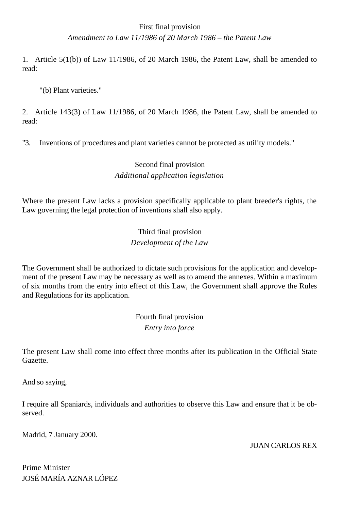## First final provision *Amendment to Law 11/1986 of 20 March 1986 – the Patent Law*

1. Article 5(1(b)) of Law 11/1986, of 20 March 1986, the Patent Law, shall be amended to read:

"(b) Plant varieties."

2. Article 143(3) of Law 11/1986, of 20 March 1986, the Patent Law, shall be amended to read:

"3. Inventions of procedures and plant varieties cannot be protected as utility models."

## Second final provision *Additional application legislation*

Where the present Law lacks a provision specifically applicable to plant breeder's rights, the Law governing the legal protection of inventions shall also apply.

> Third final provision *Development of the Law*

The Government shall be authorized to dictate such provisions for the application and development of the present Law may be necessary as well as to amend the annexes. Within a maximum of six months from the entry into effect of this Law, the Government shall approve the Rules and Regulations for its application.

> Fourth final provision *Entry into force*

The present Law shall come into effect three months after its publication in the Official State Gazette.

And so saying,

I require all Spaniards, individuals and authorities to observe this Law and ensure that it be observed.

Madrid, 7 January 2000.

JUAN CARLOS REX

Prime Minister JOSÉ MARÍA AZNAR LÓPEZ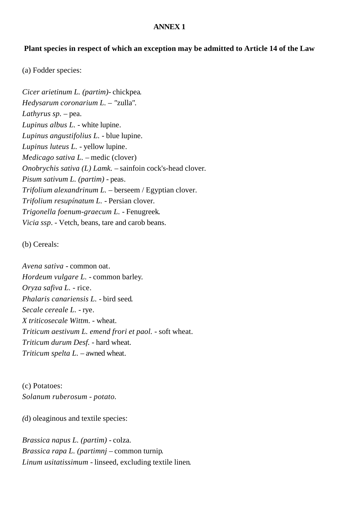#### **ANNEX 1**

#### **Plant species in respect of which an exception may be admitted to Article 14 of the Law**

(a) Fodder species:

*Cicer arietinum L. (partim)-* chickpea*. Hedysarum coronarium L. – "*zulla*". Lathyrus sp.* – pea. *Lupinus albus L. -* white lupine*. Lupinus angustifolius L.* - blue lupine. *Lupinus luteus L. -* yellow lupine*. Medicago sativa L. –* medic (clover) *Onobrychis sativa (L) Lamk. –* sainfoin cock's-head clover*. Pisum sativum L. (partim) -* peas*. Trifolium alexandrinum L.* – berseem / Egyptian clover. *Trifolium resupínatum L. -* Persian clover*. Trigonella foenum-graecum L. -* Fenugreek*. Vicia ssp*. - Vetch, beans, tare and carob beans.

(b) Cereals:

*Avena sativa -* common oat*. Hordeum vulgare L. -* common barley*. Oryza safiva L.* - rice. *Phalaris canariensis L. -* bird seed*. Secale cereale L. -* rye*. X triticosecale Wittm.* - wheat. *Triticum aestivum L. emend frori et paol.* - soft wheat. *Triticum durum Desf.* - hard wheat. *Triticum spelta L. –* awned wheat*.*

(c) Potatoes: *Solanum ruberosum - potato.*

*(*d) oleaginous and textile species:

*Brassica napus L. (partim) -* colza*. Brassica rapa L. (partimnj –* common turnip*. Linum usitatissimum -* linseed, excluding textile linen*.*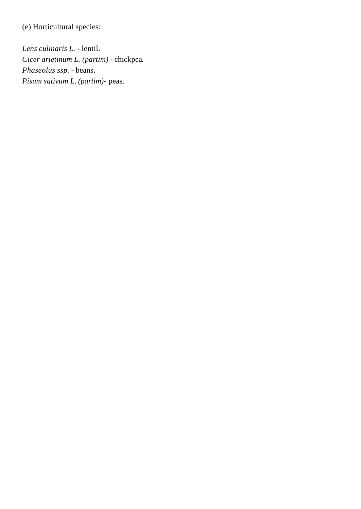(e) Horticultural species:

*Lens culinaris L.* - lentil. *Cicer arietinum L. (partim) -* chickpea*. Phaseolus ssp.* - beans. *Pisum sativum L*. *(partim)-* peas.